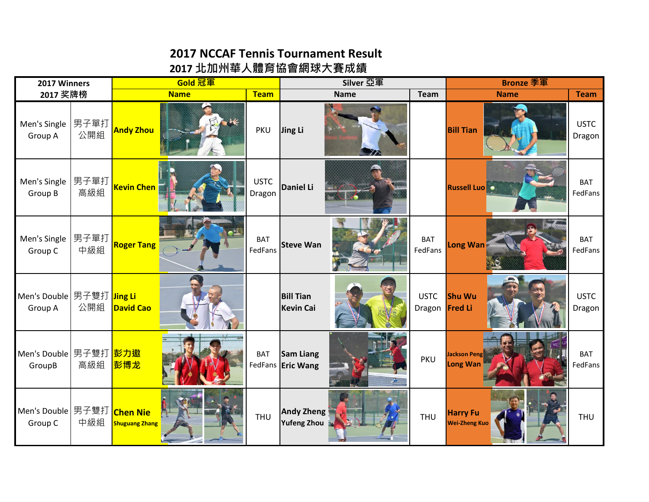## **2017 NCCAF Tennis Tournament Result**

## **2017 北加州華人體育協會網球大賽成績**

| 2017 Winners                                 |             | Gold 冠軍                                  |             |                       | Silver 亞軍                             |             |                               | <b>Bronze 季軍</b>                        |                       |
|----------------------------------------------|-------------|------------------------------------------|-------------|-----------------------|---------------------------------------|-------------|-------------------------------|-----------------------------------------|-----------------------|
| 2017 奖牌榜                                     |             |                                          | <b>Name</b> | <b>Team</b>           |                                       | <b>Name</b> | <b>Team</b>                   | <b>Name</b>                             | <b>Team</b>           |
| Men's Single<br>Group A                      | 男子單打<br>公開組 | <b>Andy Zhou</b>                         | $\kappa$    | <b>PKU</b>            | Jing Li                               |             |                               | <b>Bill Tian</b>                        | <b>USTC</b><br>Dragon |
| Men's Single<br>Group B                      | 男子單打<br>高級組 | <b>Kevin Chen</b>                        |             | <b>USTC</b><br>Dragon | <b>Daniel Li</b>                      |             |                               | <b>Russell Luo</b>                      | <b>BAT</b><br>FedFans |
| Men's Single<br>Group C                      | 男子單打<br>中級組 | <b>Roger Tang</b>                        |             | <b>BAT</b><br>FedFans | <b>Steve Wan</b>                      |             | <b>BAT</b><br>FedFans         | Long Wan                                | <b>BAT</b><br>FedFans |
| Men's Double 男子雙打 Jing Li<br>Group A         | 公開組         | <b>David Cao</b>                         |             |                       | <b>Bill Tian</b><br><b>Kevin Cai</b>  |             | <b>USTC</b><br>Dragon Fred Li | <b>Shu Wu</b>                           | <b>USTC</b><br>Dragon |
| Men's Double 男子雙打 <mark>彭力遨</mark><br>GroupB | 高級組         | 彭博龙                                      |             | <b>BAT</b>            | <b>Sam Liang</b><br>FedFans Eric Wang |             | <b>PKU</b>                    | Jackson Peng<br>Long Wan                | <b>BAT</b><br>FedFans |
| Men's Double 男子雙打<br>Group C                 | 中級組         | <b>Chen Nie</b><br><b>Shuguang Zhang</b> |             | <b>THU</b>            | Andy Zheng<br><b>Yufeng Zhou</b>      |             | <b>THU</b>                    | <b>Harry Fu</b><br><b>Wei-Zheng Kuo</b> | <b>THU</b>            |